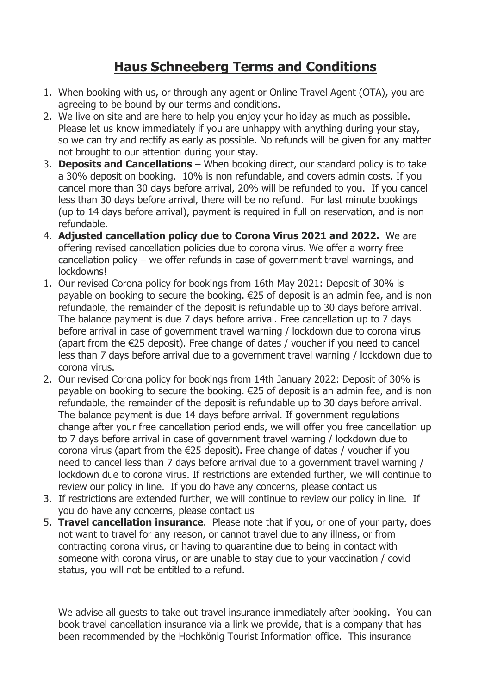## **Haus Schneeberg Terms and Conditions**

- 1. When booking with us, or through any agent or Online Travel Agent (OTA), you are agreeing to be bound by our terms and conditions.
- 2. We live on site and are here to help you enjoy your holiday as much as possible. Please let us know immediately if you are unhappy with anything during your stay, so we can try and rectify as early as possible. No refunds will be given for any matter not brought to our attention during your stay.
- 3. **Deposits and Cancellations** When booking direct, our standard policy is to take a 30% deposit on booking. 10% is non refundable, and covers admin costs. If you cancel more than 30 days before arrival, 20% will be refunded to you. If you cancel less than 30 days before arrival, there will be no refund. For last minute bookings (up to 14 days before arrival), payment is required in full on reservation, and is non refundable.
- 4. **Adjusted cancellation policy due to Corona Virus 2021 and 2022.** We are offering revised cancellation policies due to corona virus. We offer a worry free cancellation policy – we offer refunds in case of government travel warnings, and lockdowns!
- 1. Our revised Corona policy for bookings from 16th May 2021: Deposit of 30% is payable on booking to secure the booking. €25 of deposit is an admin fee, and is non refundable, the remainder of the deposit is refundable up to 30 days before arrival. The balance payment is due 7 days before arrival. Free cancellation up to 7 days before arrival in case of government travel warning / lockdown due to corona virus (apart from the €25 deposit). Free change of dates / voucher if you need to cancel less than 7 days before arrival due to a government travel warning / lockdown due to corona virus.
- 2. Our revised Corona policy for bookings from 14th January 2022: Deposit of 30% is payable on booking to secure the booking. €25 of deposit is an admin fee, and is non refundable, the remainder of the deposit is refundable up to 30 days before arrival. The balance payment is due 14 days before arrival. If government regulations change after your free cancellation period ends, we will offer you free cancellation up to 7 days before arrival in case of government travel warning / lockdown due to corona virus (apart from the  $E25$  deposit). Free change of dates / voucher if you need to cancel less than 7 days before arrival due to a government travel warning / lockdown due to corona virus. If restrictions are extended further, we will continue to review our policy in line. If you do have any concerns, please contact us
- 3. If restrictions are extended further, we will continue to review our policy in line. If you do have any concerns, please contact us
- 5. **Travel cancellation insurance**. Please note that if you, or one of your party, does not want to travel for any reason, or cannot travel due to any illness, or from contracting corona virus, or having to quarantine due to being in contact with someone with corona virus, or are unable to stay due to your vaccination / covid status, you will not be entitled to a refund.

We advise all guests to take out travel insurance immediately after booking. You can book travel cancellation insurance via a link we provide, that is a company that has been recommended by the Hochkönig Tourist Information office. This insurance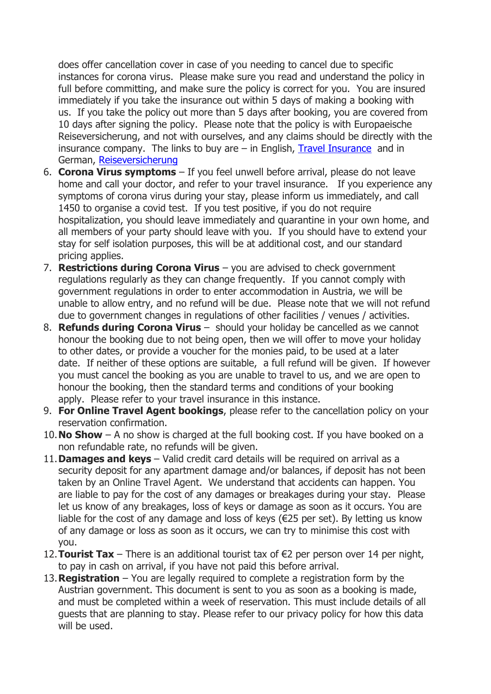does offer cancellation cover in case of you needing to cancel due to specific instances for corona virus. Please make sure you read and understand the policy in full before committing, and make sure the policy is correct for you. You are insured immediately if you take the insurance out within 5 days of making a booking with us. If you take the policy out more than 5 days after booking, you are covered from 10 days after signing the policy. Please note that the policy is with Europaeische Reiseversicherung, and not with ourselves, and any claims should be directly with the insurance company. The links to buy are  $-$  in English, [Travel Insurance](https://bit.ly/3yOkn8k) and in German, [Reiseversicherung](https://bit.ly/3hzVM1i)

- 6. **Corona Virus symptoms** If you feel unwell before arrival, please do not leave home and call your doctor, and refer to your travel insurance. If you experience any symptoms of corona virus during your stay, please inform us immediately, and call 1450 to organise a covid test. If you test positive, if you do not require hospitalization, you should leave immediately and quarantine in your own home, and all members of your party should leave with you. If you should have to extend your stay for self isolation purposes, this will be at additional cost, and our standard pricing applies.
- 7. **Restrictions during Corona Virus** you are advised to check government regulations regularly as they can change frequently. If you cannot comply with government regulations in order to enter accommodation in Austria, we will be unable to allow entry, and no refund will be due. Please note that we will not refund due to government changes in regulations of other facilities / venues / activities.
- 8. **Refunds during Corona Virus** should your holiday be cancelled as we cannot honour the booking due to not being open, then we will offer to move your holiday to other dates, or provide a voucher for the monies paid, to be used at a later date. If neither of these options are suitable, a full refund will be given. If however you must cancel the booking as you are unable to travel to us, and we are open to honour the booking, then the standard terms and conditions of your booking apply. Please refer to your travel insurance in this instance.
- 9. **For Online Travel Agent bookings**, please refer to the cancellation policy on your reservation confirmation.
- 10.**No Show** A no show is charged at the full booking cost. If you have booked on a non refundable rate, no refunds will be given.
- 11.**Damages and keys** Valid credit card details will be required on arrival as a security deposit for any apartment damage and/or balances, if deposit has not been taken by an Online Travel Agent. We understand that accidents can happen. You are liable to pay for the cost of any damages or breakages during your stay. Please let us know of any breakages, loss of keys or damage as soon as it occurs. You are liable for the cost of any damage and loss of keys ( $\epsilon$ 25 per set). By letting us know of any damage or loss as soon as it occurs, we can try to minimise this cost with you.
- 12.**Tourist Tax** There is an additional tourist tax of €2 per person over 14 per night, to pay in cash on arrival, if you have not paid this before arrival.
- 13.**Registration** You are legally required to complete a registration form by the Austrian government. This document is sent to you as soon as a booking is made, and must be completed within a week of reservation. This must include details of all guests that are planning to stay. Please refer to our privacy policy for how this data will be used.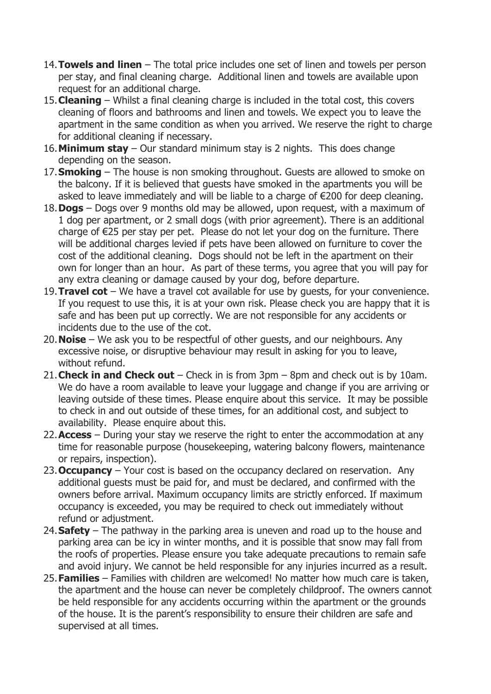- 14.**Towels and linen** The total price includes one set of linen and towels per person per stay, and final cleaning charge. Additional linen and towels are available upon request for an additional charge.
- 15.**Cleaning** Whilst a final cleaning charge is included in the total cost, this covers cleaning of floors and bathrooms and linen and towels. We expect you to leave the apartment in the same condition as when you arrived. We reserve the right to charge for additional cleaning if necessary.
- 16.**Minimum stay** Our standard minimum stay is 2 nights. This does change depending on the season.
- 17.**Smoking** The house is non smoking throughout. Guests are allowed to smoke on the balcony. If it is believed that guests have smoked in the apartments you will be asked to leave immediately and will be liable to a charge of €200 for deep cleaning.
- 18.**Dogs** Dogs over 9 months old may be allowed, upon request, with a maximum of 1 dog per apartment, or 2 small dogs (with prior agreement). There is an additional charge of €25 per stay per pet. Please do not let your dog on the furniture. There will be additional charges levied if pets have been allowed on furniture to cover the cost of the additional cleaning. Dogs should not be left in the apartment on their own for longer than an hour. As part of these terms, you agree that you will pay for any extra cleaning or damage caused by your dog, before departure.
- 19.**Travel cot** We have a travel cot available for use by guests, for your convenience. If you request to use this, it is at your own risk. Please check you are happy that it is safe and has been put up correctly. We are not responsible for any accidents or incidents due to the use of the cot.
- 20.**Noise** We ask you to be respectful of other guests, and our neighbours. Any excessive noise, or disruptive behaviour may result in asking for you to leave, without refund.
- 21.**Check in and Check out** Check in is from 3pm 8pm and check out is by 10am. We do have a room available to leave your luggage and change if you are arriving or leaving outside of these times. Please enquire about this service. It may be possible to check in and out outside of these times, for an additional cost, and subject to availability. Please enquire about this.
- 22.**Access** During your stay we reserve the right to enter the accommodation at any time for reasonable purpose (housekeeping, watering balcony flowers, maintenance or repairs, inspection).
- 23.**Occupancy** Your cost is based on the occupancy declared on reservation. Any additional guests must be paid for, and must be declared, and confirmed with the owners before arrival. Maximum occupancy limits are strictly enforced. If maximum occupancy is exceeded, you may be required to check out immediately without refund or adjustment.
- 24.**Safety** The pathway in the parking area is uneven and road up to the house and parking area can be icy in winter months, and it is possible that snow may fall from the roofs of properties. Please ensure you take adequate precautions to remain safe and avoid injury. We cannot be held responsible for any injuries incurred as a result.
- 25.**Families** Families with children are welcomed! No matter how much care is taken, the apartment and the house can never be completely childproof. The owners cannot be held responsible for any accidents occurring within the apartment or the grounds of the house. It is the parent's responsibility to ensure their children are safe and supervised at all times.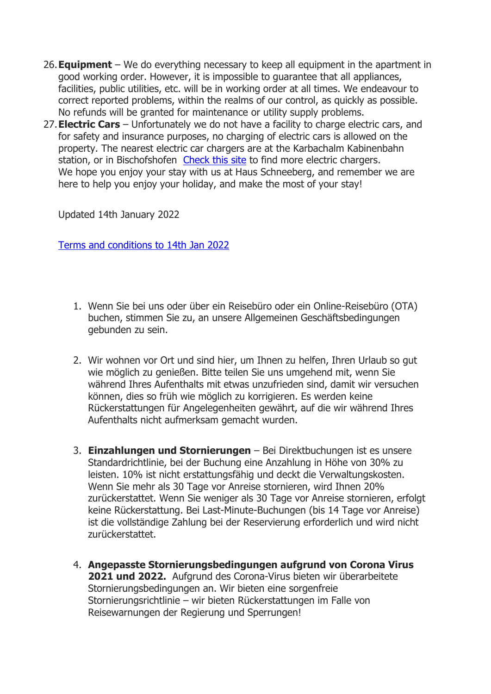- 26.**Equipment** We do everything necessary to keep all equipment in the apartment in good working order. However, it is impossible to guarantee that all appliances, facilities, public utilities, etc. will be in working order at all times. We endeavour to correct reported problems, within the realms of our control, as quickly as possible. No refunds will be granted for maintenance or utility supply problems.
- 27.**Electric Cars** Unfortunately we do not have a facility to charge electric cars, and for safety and insurance purposes, no charging of electric cars is allowed on the property. The nearest electric car chargers are at the Karbachalm Kabinenbahn station, or in Bischofshofen [Check this site](https://www.electromaps.com/en) to find more electric chargers. We hope you enjoy your stay with us at Haus Schneeberg, and remember we are here to help you enjoy your holiday, and make the most of your stay!

Updated 14th January 2022

[Terms and conditions to 14th Jan 2022](https://www.hausschneeberg.com/wp-content/uploads/2022/01/Ts-and-Cs-14.01.22.pdf)

- 1. Wenn Sie bei uns oder über ein Reisebüro oder ein Online-Reisebüro (OTA) buchen, stimmen Sie zu, an unsere Allgemeinen Geschäftsbedingungen gebunden zu sein.
- 2. Wir wohnen vor Ort und sind hier, um Ihnen zu helfen, Ihren Urlaub so gut wie möglich zu genießen. Bitte teilen Sie uns umgehend mit, wenn Sie während Ihres Aufenthalts mit etwas unzufrieden sind, damit wir versuchen können, dies so früh wie möglich zu korrigieren. Es werden keine Rückerstattungen für Angelegenheiten gewährt, auf die wir während Ihres Aufenthalts nicht aufmerksam gemacht wurden.
- 3. **Einzahlungen und Stornierungen** Bei Direktbuchungen ist es unsere Standardrichtlinie, bei der Buchung eine Anzahlung in Höhe von 30% zu leisten. 10% ist nicht erstattungsfähig und deckt die Verwaltungskosten. Wenn Sie mehr als 30 Tage vor Anreise stornieren, wird Ihnen 20% zurückerstattet. Wenn Sie weniger als 30 Tage vor Anreise stornieren, erfolgt keine Rückerstattung. Bei Last-Minute-Buchungen (bis 14 Tage vor Anreise) ist die vollständige Zahlung bei der Reservierung erforderlich und wird nicht zurückerstattet.
- 4. **Angepasste Stornierungsbedingungen aufgrund von Corona Virus 2021 und 2022.** Aufgrund des Corona-Virus bieten wir überarbeitete Stornierungsbedingungen an. Wir bieten eine sorgenfreie Stornierungsrichtlinie – wir bieten Rückerstattungen im Falle von Reisewarnungen der Regierung und Sperrungen!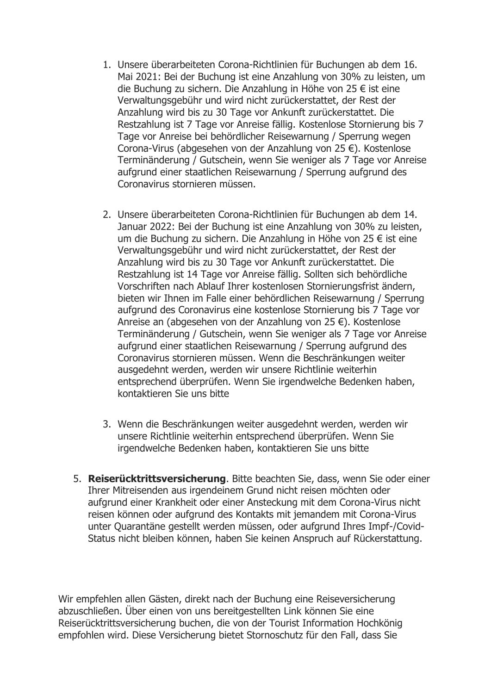- 1. Unsere überarbeiteten Corona-Richtlinien für Buchungen ab dem 16. Mai 2021: Bei der Buchung ist eine Anzahlung von 30% zu leisten, um die Buchung zu sichern. Die Anzahlung in Höhe von 25 € ist eine Verwaltungsgebühr und wird nicht zurückerstattet, der Rest der Anzahlung wird bis zu 30 Tage vor Ankunft zurückerstattet. Die Restzahlung ist 7 Tage vor Anreise fällig. Kostenlose Stornierung bis 7 Tage vor Anreise bei behördlicher Reisewarnung / Sperrung wegen Corona-Virus (abgesehen von der Anzahlung von 25 €). Kostenlose Terminänderung / Gutschein, wenn Sie weniger als 7 Tage vor Anreise aufgrund einer staatlichen Reisewarnung / Sperrung aufgrund des Coronavirus stornieren müssen.
- 2. Unsere überarbeiteten Corona-Richtlinien für Buchungen ab dem 14. Januar 2022: Bei der Buchung ist eine Anzahlung von 30% zu leisten, um die Buchung zu sichern. Die Anzahlung in Höhe von 25 € ist eine Verwaltungsgebühr und wird nicht zurückerstattet, der Rest der Anzahlung wird bis zu 30 Tage vor Ankunft zurückerstattet. Die Restzahlung ist 14 Tage vor Anreise fällig. Sollten sich behördliche Vorschriften nach Ablauf Ihrer kostenlosen Stornierungsfrist ändern, bieten wir Ihnen im Falle einer behördlichen Reisewarnung / Sperrung aufgrund des Coronavirus eine kostenlose Stornierung bis 7 Tage vor Anreise an (abgesehen von der Anzahlung von 25 €). Kostenlose Terminänderung / Gutschein, wenn Sie weniger als 7 Tage vor Anreise aufgrund einer staatlichen Reisewarnung / Sperrung aufgrund des Coronavirus stornieren müssen. Wenn die Beschränkungen weiter ausgedehnt werden, werden wir unsere Richtlinie weiterhin entsprechend überprüfen. Wenn Sie irgendwelche Bedenken haben, kontaktieren Sie uns bitte
- 3. Wenn die Beschränkungen weiter ausgedehnt werden, werden wir unsere Richtlinie weiterhin entsprechend überprüfen. Wenn Sie irgendwelche Bedenken haben, kontaktieren Sie uns bitte
- 5. **Reiserücktrittsversicherung**. Bitte beachten Sie, dass, wenn Sie oder einer Ihrer Mitreisenden aus irgendeinem Grund nicht reisen möchten oder aufgrund einer Krankheit oder einer Ansteckung mit dem Corona-Virus nicht reisen können oder aufgrund des Kontakts mit jemandem mit Corona-Virus unter Quarantäne gestellt werden müssen, oder aufgrund Ihres Impf-/Covid-Status nicht bleiben können, haben Sie keinen Anspruch auf Rückerstattung.

Wir empfehlen allen Gästen, direkt nach der Buchung eine Reiseversicherung abzuschließen. Über einen von uns bereitgestellten Link können Sie eine Reiserücktrittsversicherung buchen, die von der Tourist Information Hochkönig empfohlen wird. Diese Versicherung bietet Stornoschutz für den Fall, dass Sie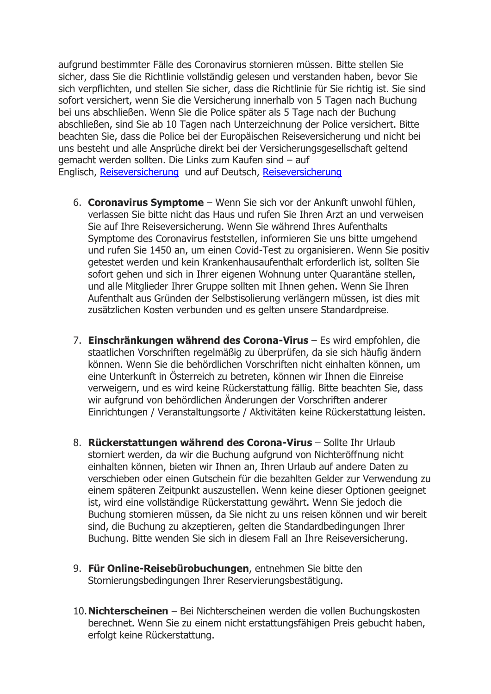aufgrund bestimmter Fälle des Coronavirus stornieren müssen. Bitte stellen Sie sicher, dass Sie die Richtlinie vollständig gelesen und verstanden haben, bevor Sie sich verpflichten, und stellen Sie sicher, dass die Richtlinie für Sie richtig ist. Sie sind sofort versichert, wenn Sie die Versicherung innerhalb von 5 Tagen nach Buchung bei uns abschließen. Wenn Sie die Police später als 5 Tage nach der Buchung abschließen, sind Sie ab 10 Tagen nach Unterzeichnung der Police versichert. Bitte beachten Sie, dass die Police bei der Europäischen Reiseversicherung und nicht bei uns besteht und alle Ansprüche direkt bei der Versicherungsgesellschaft geltend gemacht werden sollten. Die Links zum Kaufen sind – auf Englisch, [Reiseversicherung](https://bit.ly/3yOkn8k) und auf Deutsch, [Reiseversicherung](https://bit.ly/3hzVM1i)

- 6. **Coronavirus Symptome** Wenn Sie sich vor der Ankunft unwohl fühlen, verlassen Sie bitte nicht das Haus und rufen Sie Ihren Arzt an und verweisen Sie auf Ihre Reiseversicherung. Wenn Sie während Ihres Aufenthalts Symptome des Coronavirus feststellen, informieren Sie uns bitte umgehend und rufen Sie 1450 an, um einen Covid-Test zu organisieren. Wenn Sie positiv getestet werden und kein Krankenhausaufenthalt erforderlich ist, sollten Sie sofort gehen und sich in Ihrer eigenen Wohnung unter Quarantäne stellen, und alle Mitglieder Ihrer Gruppe sollten mit Ihnen gehen. Wenn Sie Ihren Aufenthalt aus Gründen der Selbstisolierung verlängern müssen, ist dies mit zusätzlichen Kosten verbunden und es gelten unsere Standardpreise.
- 7. **Einschränkungen während des Corona-Virus** Es wird empfohlen, die staatlichen Vorschriften regelmäßig zu überprüfen, da sie sich häufig ändern können. Wenn Sie die behördlichen Vorschriften nicht einhalten können, um eine Unterkunft in Österreich zu betreten, können wir Ihnen die Einreise verweigern, und es wird keine Rückerstattung fällig. Bitte beachten Sie, dass wir aufgrund von behördlichen Änderungen der Vorschriften anderer Einrichtungen / Veranstaltungsorte / Aktivitäten keine Rückerstattung leisten.
- 8. **Rückerstattungen während des Corona-Virus** Sollte Ihr Urlaub storniert werden, da wir die Buchung aufgrund von Nichteröffnung nicht einhalten können, bieten wir Ihnen an, Ihren Urlaub auf andere Daten zu verschieben oder einen Gutschein für die bezahlten Gelder zur Verwendung zu einem späteren Zeitpunkt auszustellen. Wenn keine dieser Optionen geeignet ist, wird eine vollständige Rückerstattung gewährt. Wenn Sie jedoch die Buchung stornieren müssen, da Sie nicht zu uns reisen können und wir bereit sind, die Buchung zu akzeptieren, gelten die Standardbedingungen Ihrer Buchung. Bitte wenden Sie sich in diesem Fall an Ihre Reiseversicherung.
- 9. **Für Online-Reisebürobuchungen**, entnehmen Sie bitte den Stornierungsbedingungen Ihrer Reservierungsbestätigung.
- 10.**Nichterscheinen** Bei Nichterscheinen werden die vollen Buchungskosten berechnet. Wenn Sie zu einem nicht erstattungsfähigen Preis gebucht haben, erfolgt keine Rückerstattung.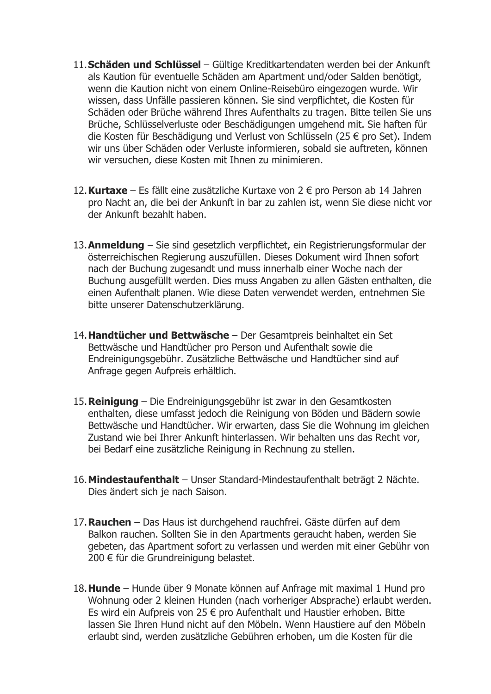- 11.**Schäden und Schlüssel** Gültige Kreditkartendaten werden bei der Ankunft als Kaution für eventuelle Schäden am Apartment und/oder Salden benötigt, wenn die Kaution nicht von einem Online-Reisebüro eingezogen wurde. Wir wissen, dass Unfälle passieren können. Sie sind verpflichtet, die Kosten für Schäden oder Brüche während Ihres Aufenthalts zu tragen. Bitte teilen Sie uns Brüche, Schlüsselverluste oder Beschädigungen umgehend mit. Sie haften für die Kosten für Beschädigung und Verlust von Schlüsseln (25 € pro Set). Indem wir uns über Schäden oder Verluste informieren, sobald sie auftreten, können wir versuchen, diese Kosten mit Ihnen zu minimieren.
- 12.**Kurtaxe** Es fällt eine zusätzliche Kurtaxe von 2 € pro Person ab 14 Jahren pro Nacht an, die bei der Ankunft in bar zu zahlen ist, wenn Sie diese nicht vor der Ankunft bezahlt haben.
- 13.**Anmeldung** Sie sind gesetzlich verpflichtet, ein Registrierungsformular der österreichischen Regierung auszufüllen. Dieses Dokument wird Ihnen sofort nach der Buchung zugesandt und muss innerhalb einer Woche nach der Buchung ausgefüllt werden. Dies muss Angaben zu allen Gästen enthalten, die einen Aufenthalt planen. Wie diese Daten verwendet werden, entnehmen Sie bitte unserer Datenschutzerklärung.
- 14.**Handtücher und Bettwäsche** Der Gesamtpreis beinhaltet ein Set Bettwäsche und Handtücher pro Person und Aufenthalt sowie die Endreinigungsgebühr. Zusätzliche Bettwäsche und Handtücher sind auf Anfrage gegen Aufpreis erhältlich.
- 15.**Reinigung** Die Endreinigungsgebühr ist zwar in den Gesamtkosten enthalten, diese umfasst jedoch die Reinigung von Böden und Bädern sowie Bettwäsche und Handtücher. Wir erwarten, dass Sie die Wohnung im gleichen Zustand wie bei Ihrer Ankunft hinterlassen. Wir behalten uns das Recht vor, bei Bedarf eine zusätzliche Reinigung in Rechnung zu stellen.
- 16.**Mindestaufenthalt** Unser Standard-Mindestaufenthalt beträgt 2 Nächte. Dies ändert sich je nach Saison.
- 17.**Rauchen** Das Haus ist durchgehend rauchfrei. Gäste dürfen auf dem Balkon rauchen. Sollten Sie in den Apartments geraucht haben, werden Sie gebeten, das Apartment sofort zu verlassen und werden mit einer Gebühr von 200 € für die Grundreinigung belastet.
- 18.**Hunde** Hunde über 9 Monate können auf Anfrage mit maximal 1 Hund pro Wohnung oder 2 kleinen Hunden (nach vorheriger Absprache) erlaubt werden. Es wird ein Aufpreis von 25 € pro Aufenthalt und Haustier erhoben. Bitte lassen Sie Ihren Hund nicht auf den Möbeln. Wenn Haustiere auf den Möbeln erlaubt sind, werden zusätzliche Gebühren erhoben, um die Kosten für die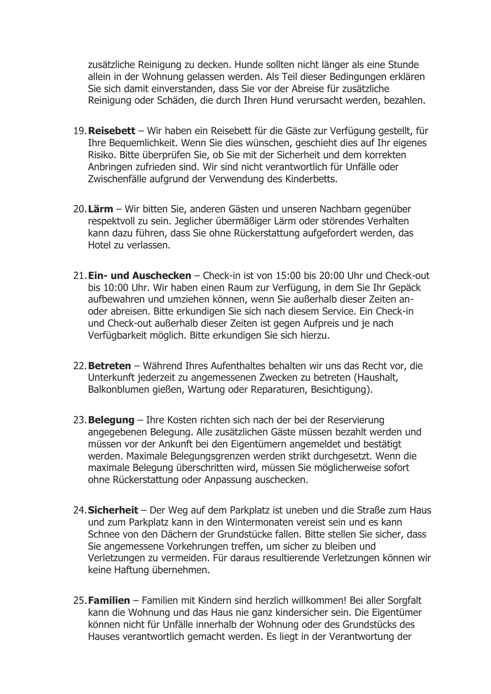zusätzliche Reinigung zu decken. Hunde sollten nicht länger als eine Stunde allein in der Wohnung gelassen werden. Als Teil dieser Bedingungen erklären Sie sich damit einverstanden, dass Sie vor der Abreise für zusätzliche Reinigung oder Schäden, die durch Ihren Hund verursacht werden, bezahlen.

- 19.**Reisebett** Wir haben ein Reisebett für die Gäste zur Verfügung gestellt, für Ihre Bequemlichkeit. Wenn Sie dies wünschen, geschieht dies auf Ihr eigenes Risiko. Bitte überprüfen Sie, ob Sie mit der Sicherheit und dem korrekten Anbringen zufrieden sind. Wir sind nicht verantwortlich für Unfälle oder Zwischenfälle aufgrund der Verwendung des Kinderbetts.
- 20.**Lärm** Wir bitten Sie, anderen Gästen und unseren Nachbarn gegenüber respektvoll zu sein. Jeglicher übermäßiger Lärm oder störendes Verhalten kann dazu führen, dass Sie ohne Rückerstattung aufgefordert werden, das Hotel zu verlassen.
- 21.**Ein- und Auschecken** Check-in ist von 15:00 bis 20:00 Uhr und Check-out bis 10:00 Uhr. Wir haben einen Raum zur Verfügung, in dem Sie Ihr Gepäck aufbewahren und umziehen können, wenn Sie außerhalb dieser Zeiten anoder abreisen. Bitte erkundigen Sie sich nach diesem Service. Ein Check-in und Check-out außerhalb dieser Zeiten ist gegen Aufpreis und je nach Verfügbarkeit möglich. Bitte erkundigen Sie sich hierzu.
- 22.**Betreten** Während Ihres Aufenthaltes behalten wir uns das Recht vor, die Unterkunft jederzeit zu angemessenen Zwecken zu betreten (Haushalt, Balkonblumen gießen, Wartung oder Reparaturen, Besichtigung).
- 23.**Belegung** Ihre Kosten richten sich nach der bei der Reservierung angegebenen Belegung. Alle zusätzlichen Gäste müssen bezahlt werden und müssen vor der Ankunft bei den Eigentümern angemeldet und bestätigt werden. Maximale Belegungsgrenzen werden strikt durchgesetzt. Wenn die maximale Belegung überschritten wird, müssen Sie möglicherweise sofort ohne Rückerstattung oder Anpassung auschecken.
- 24.**Sicherheit** Der Weg auf dem Parkplatz ist uneben und die Straße zum Haus und zum Parkplatz kann in den Wintermonaten vereist sein und es kann Schnee von den Dächern der Grundstücke fallen. Bitte stellen Sie sicher, dass Sie angemessene Vorkehrungen treffen, um sicher zu bleiben und Verletzungen zu vermeiden. Für daraus resultierende Verletzungen können wir keine Haftung übernehmen.
- 25.**Familien** Familien mit Kindern sind herzlich willkommen! Bei aller Sorgfalt kann die Wohnung und das Haus nie ganz kindersicher sein. Die Eigentümer können nicht für Unfälle innerhalb der Wohnung oder des Grundstücks des Hauses verantwortlich gemacht werden. Es liegt in der Verantwortung der